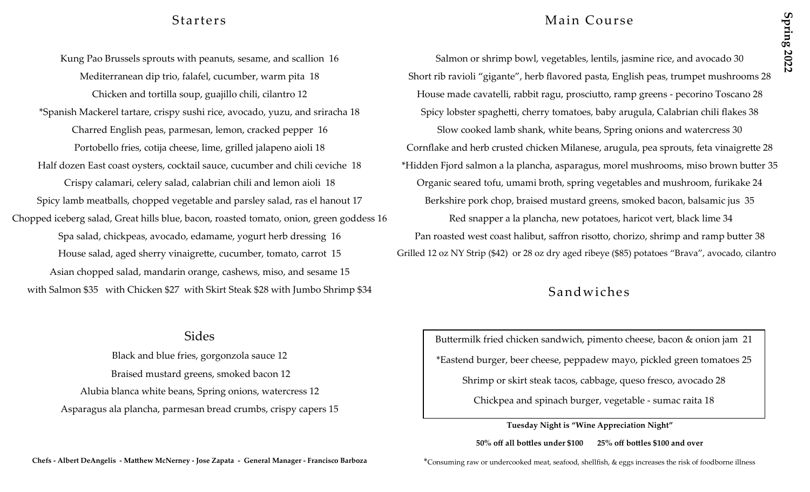Chopped iceberg salad, Great hills blue, bacon, roasted tomato, onion, green goddess 16 Red snapper a la plancha, new potatoes, haricot vert, black lime 34 House salad, aged sherry vinaigrette, cucumber, tomato, carrot 15 Grilled 12 oz NY Strip (\$42) or 28 oz dry aged ribeye (\$85) potatoes "Brava", avocado, cilantro Asian chopped salad, mandarin orange, cashews, miso, and sesame 15 with Salmon \$35 with Chicken \$27 with Skirt Steak \$28 with Jumbo Shrimp \$34 Sandwiches

## Sides

Black and blue fries, gorgonzola sauce 12 Braised mustard greens, smoked bacon 12 Alubia blanca white beans, Spring onions, watercress 12 Asparagus ala plancha, parmesan bread crumbs, crispy capers 15

## Starters Main Course

Kung Pao Brussels sprouts with peanuts, sesame, and scallion 16 Salmon or shrimp bowl, vegetables, lentils, jasmine rice, and avocado 30 Mediterranean dip trio, falafel, cucumber, warm pita 18 Short rib ravioli "gigante", herb flavored pasta, English peas, trumpet mushrooms 28 Chicken and tortilla soup, guajillo chili, cilantro 12 House made cavatelli, rabbit ragu, prosciutto, ramp greens - pecorino Toscano 28 \*Spanish Mackerel tartare, crispy sushi rice, avocado, yuzu, and sriracha 18 Spicy lobster spaghetti, cherry tomatoes, baby arugula, Calabrian chili flakes 38 Charred English peas, parmesan, lemon, cracked pepper 16 Slow cooked lamb shank, white beans, Spring onions and watercress 30 Portobello fries, cotija cheese, lime, grilled jalapeno aioli 18 Cornflake and herb crusted chicken Milanese, arugula, pea sprouts, feta vinaigrette 28 Half dozen East coast oysters, cocktail sauce, cucumber and chili ceviche 18 \*Hidden Fjord salmon a la plancha, asparagus, morel mushrooms, miso brown butter 35 Crispy calamari, celery salad, calabrian chili and lemon aioli 18 Organic seared tofu, umami broth, spring vegetables and mushroom, furikake 24 Spicy lamb meatballs, chopped vegetable and parsley salad, ras el hanout 17 Berkshire pork chop, braised mustard greens, smoked bacon, balsamic jus 35 Spa salad, chickpeas, avocado, edamame, yogurt herb dressing 16 Pan roasted west coast halibut, saffron risotto, chorizo, shrimp and ramp butter 38

# Buttermilk fried chicken sandwich, pimento cheese, bacon & onion jam 21 \*Eastend burger, beer cheese, peppadew mayo, pickled green tomatoes 25 Shrimp or skirt steak tacos, cabbage, queso fresco, avocado 28

Chickpea and spinach burger, vegetable - sumac raita 18

**Tuesday Night is "Wine Appreciation Night"**

**50% off all bottles under \$100 25% off bottles \$100 and over**